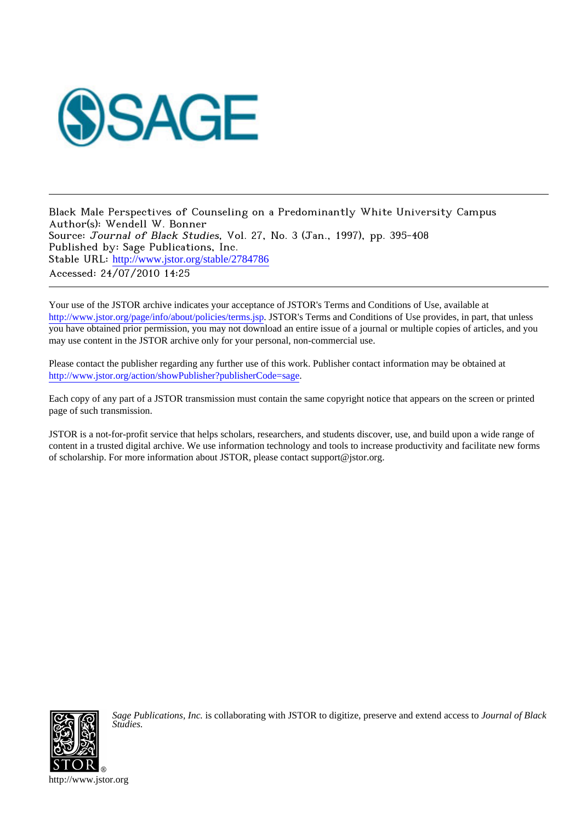

Black Male Perspectives of Counseling on a Predominantly White University Campus Author(s): Wendell W. Bonner Source: Journal of Black Studies, Vol. 27, No. 3 (Jan., 1997), pp. 395-408 Published by: Sage Publications, Inc. Stable URL: [http://www.jstor.org/stable/2784786](http://www.jstor.org/stable/2784786?origin=JSTOR-pdf) Accessed: 24/07/2010 14:25

Your use of the JSTOR archive indicates your acceptance of JSTOR's Terms and Conditions of Use, available at <http://www.jstor.org/page/info/about/policies/terms.jsp>. JSTOR's Terms and Conditions of Use provides, in part, that unless you have obtained prior permission, you may not download an entire issue of a journal or multiple copies of articles, and you may use content in the JSTOR archive only for your personal, non-commercial use.

Please contact the publisher regarding any further use of this work. Publisher contact information may be obtained at [http://www.jstor.org/action/showPublisher?publisherCode=sage.](http://www.jstor.org/action/showPublisher?publisherCode=sage)

Each copy of any part of a JSTOR transmission must contain the same copyright notice that appears on the screen or printed page of such transmission.

JSTOR is a not-for-profit service that helps scholars, researchers, and students discover, use, and build upon a wide range of content in a trusted digital archive. We use information technology and tools to increase productivity and facilitate new forms of scholarship. For more information about JSTOR, please contact support@jstor.org.



*Sage Publications, Inc.* is collaborating with JSTOR to digitize, preserve and extend access to *Journal of Black Studies.*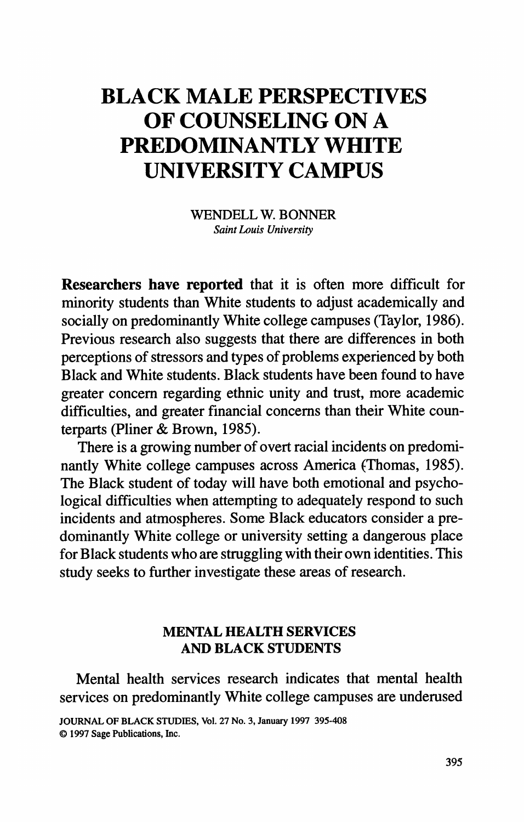# BLACK MALE PERSPECTIVES OF COUNSELING ON A PREDOMINANTLY WHITE UNIVERSITY CAMPUS

WENDELL W. BONNER Saint Louis University

Researchers have reported that it is often more difficult for minority students than White students to adjust academically and socially on predominantly White college campuses (Taylor, 1986). Previous research also suggests that there are differences in both perceptions of stressors and types of problems experienced by both Black and White students. Black students have been found to have greater concern regarding ethnic unity and trust, more academic difficulties, and greater financial concerns than their White counterparts (Pliner & Brown, 1985).

There is a growing number of overt racial incidents on predominantly White college campuses across America (Thomas, 1985). The Black student of today will have both emotional and psychological difficulties when attempting to adequately respond to such incidents and atmospheres. Some Black educators consider a predominantly White college or university setting a dangerous place for Black students who are struggling with their own identities. This study seeks to further investigate these areas of research.

# MENTAL HEALTH SERVICES AND BLACK STUDENTS

Mental health services research indicates that mental health services on predominantly White college campuses are underused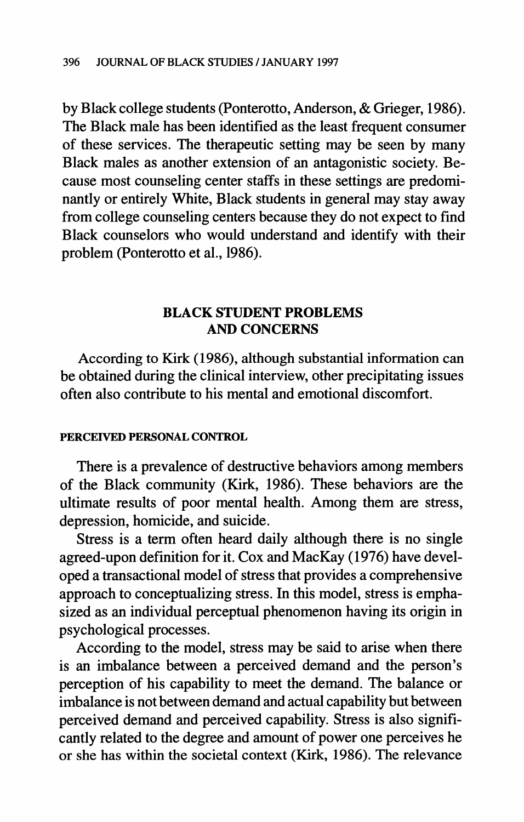by Black college students (Ponterotto, Anderson, & Grieger, 1986). The Black male has been identified as the least frequent consumer of these services. The therapeutic setting may be seen by many Black males as another extension of an antagonistic society. Because most counseling center staffs in these settings are predominantly or entirely White, Black students in general may stay away from college counseling centers because they do not expect to find Black counselors who would understand and identify with their problem (Ponterotto et al., 1986).

# BLACK STUDENT PROBLEMS AND CONCERNS

According to Kirk (1986), although substantial information can be obtained during the clinical interview, other precipitating issues often also contribute to his mental and emotional discomfort.

#### PERCEIVED PERSONAL CONTROL

There is a prevalence of destructive behaviors among members of the Black community (Kirk, 1986). These behaviors are the ultimate results of poor mental health. Among them are stress, depression, homicide, and suicide.

Stress is a term often heard daily although there is no single agreed-upon definition for it. Cox and MacKay (1976) have developed a transactional model of stress that provides acomprehensive approach to conceptualizing stress. In this model, stress is emphasized as an individual perceptual phenomenon having its origin in psychological processes.

According to the model, stress may be said to arise when there is an imbalance between a perceived demand and the person's perception of his capability to meet the demand. The balance or imbalance is not between demand and actual capability but between perceived demand and perceived capability. Stress is also significantly related to the degree and amount of power one perceives he or she has within the societal context (Kirk, 1986). The relevance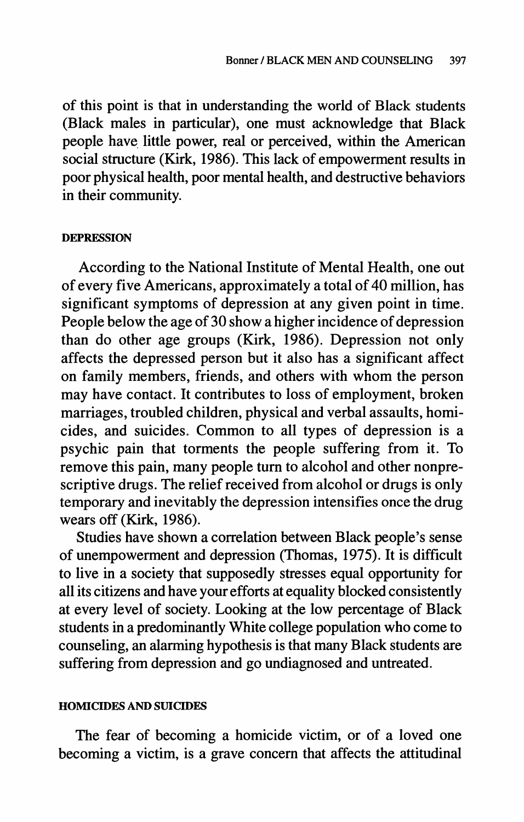of this point is that in understanding the world of Black students (Black males in particular), one must acknowledge that Black people have little power, real or perceived, within the American social structure (Kirk, 1986). This lack of empowerment results in poor physical health, poor mental health, and destructive behaviors in their community.

#### DEPRESSION

According to the National Institute of Mental Health, one out of every five Americans, approximately a total of 40 million, has significant symptoms of depression at any given point in time. People below the age of 30 show a higher incidence of depression than do other age groups (Kirk, 1986). Depression not only affects the depressed person but it also has a significant affect on family members, friends, and others with whom the person may have contact. It contributes to loss of employment, broken marriages, troubled children, physical and verbal assaults, homicides, and suicides. Common to all types of depression is a psychic pain that torments the people suffering from it. To remove this pain, many people turn to alcohol and other nonprescriptive drugs. The relief received from alcohol or drugs is only temporary and inevitably the depression intensifies once the drug wears off (Kirk, 1986).

Studies have shown a correlation between Black people's sense of unempowerment and depression (Thomas, 1975). It is difficult to live in a society that supposedly stresses equal opportunity for all its citizens and have your efforts at equality blocked consistently at every level of society. Looking at the low percentage of Black students in a predominantly White college population who come to counseling, an alarming hypothesis is that many Black students are suffering from depression and go undiagnosed and untreated.

#### HOMICIDES AND SUICIDES

The fear of becoming a homicide victim, or of a loved one becoming a victim, is a grave concern that affects the attitudinal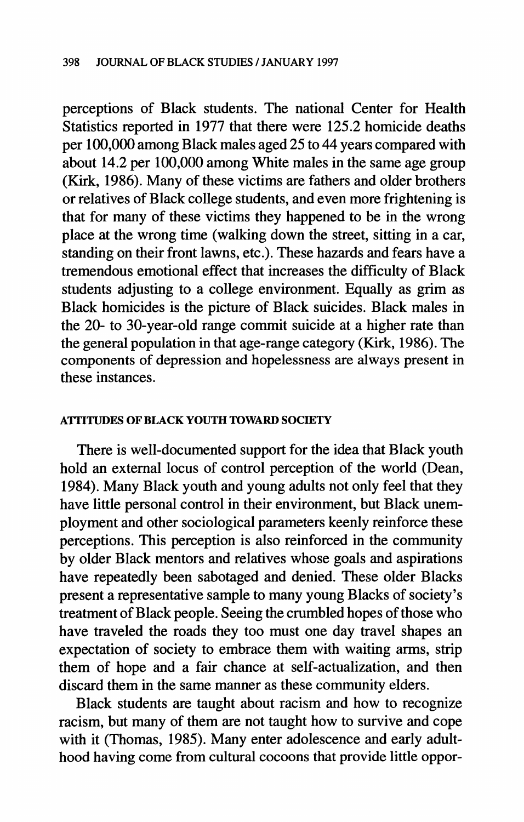perceptions of Black students. The national Center for Health Statistics reported in 1977 that there were 125.2 homicide deaths per 100,000 among Black males aged 25 to 44 years compared with about 14.2 per 100,000 among White males in the same age group (Kirk, 1986). Many of these victims are fathers and older brothers or relatives of Black college students, and even more frightening is that for many of these victims they happened to be in the wrong place at the wrong time (walking down the street, sitting in a car, standing on their front lawns, etc.). These hazards and fears have a tremendous emotional effect that increases the difficulty of Black students adjusting to a college environment. Equally as grim as Black homicides is the picture of Black suicides. Black males in the 20- to 30-year-old range commit suicide at a higher rate than the general population in that age-range category (Kirk, 1986). The components of depression and hopelessness are always present in these instances.

## ATTITUDES OF BLACK YOUTH TOWARD SOCIETY

There is well-documented support for the idea that Black youth hold an external locus of control perception of the world (Dean, 1984). Many Black youth and young adults not only feel that they have little personal control in their environment, but Black unemployment and other sociological parameters keenly reinforce these perceptions. This perception is also reinforced in the community by older Black mentors and relatives whose goals and aspirations have repeatedly been sabotaged and denied. These older Blacks present a representative sample to many young Blacks of society's treatment of Black people. Seeing the crumbled hopes of those who have traveled the roads they too must one day travel shapes an expectation of society to embrace them with waiting arms, strip them of hope and a fair chance at self-actualization, and then discard them in the same manner as these community elders.

Black students are taught about racism and how to recognize racism, but many of them are not taught how to survive and cope with it (Thomas, 1985). Many enter adolescence and early adulthood having come from cultural cocoons that provide little oppor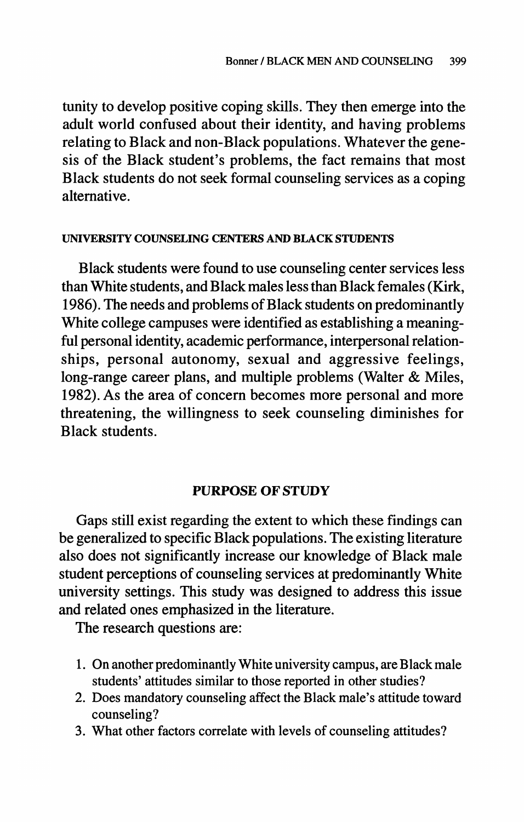tunity to develop positive coping skills. They then emerge into the adult world confused about their identity, and having problems relating to Black and non-Black populations. Whatever the genesis of the Black student's problems, the fact remains that most Black students do not seek formal counseling services as a coping alternative.

## UNIVERSITY COUNSELING CENTERS AND BLACK STUDENTS

Black students were found to use counseling center services less than White students, and Black males less than Black females (Kirk, 1986). The needs and problems of Black students on predominantly White college campuses were identified as establishing a meaningful personal identity, academic performance, interpersonal relationships, personal autonomy, sexual and aggressive feelings, long-range career plans, and multiple problems (Walter & Miles, 1982). As the area of concern becomes more personal and more threatening, the willingness to seek counseling diminishes for Black students.

# PURPOSE OF STUDY

Gaps still exist regarding the extent to which these findings can be generalized to specific Black populations. The existing literature also does not significantly increase our knowledge of Black male student perceptions of counseling services at predominantly White university settings. This study was designed to address this issue and related ones emphasized in the literature.

The research questions are:

- 1. On another predominantly White university campus, are Black male students' attitudes similar to those reported in other studies?
- 2. Does mandatory counseling affect the Black male's attitude toward counseling?
- 3. What other factors correlate with levels of counseling attitudes?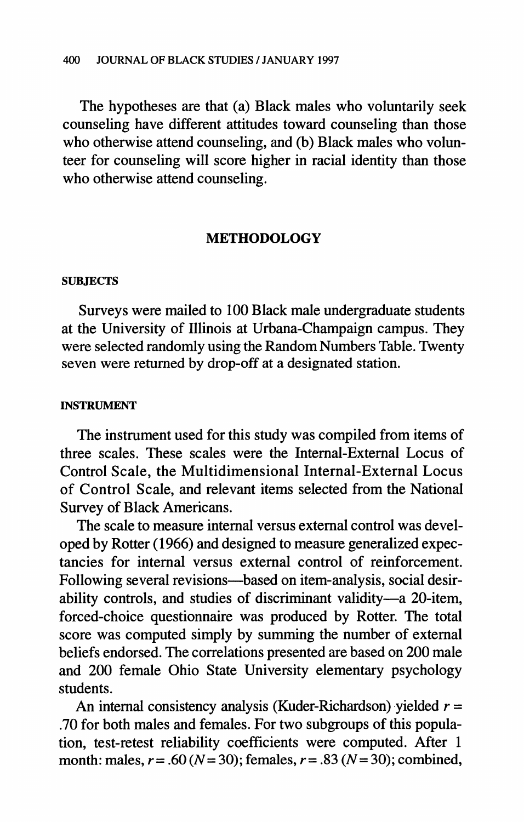The hypotheses are that (a) Black males who voluntarily seek counseling have different atitudes toward counseling than those who otherwise attend counseling, and (b) Black males who volunteer for counseling will score higher in racial identity than those who otherwise attend counseling.

## METHODOLOGY

#### **SUBJECTS**

Surveys were mailed to 100 Black male undergraduate students at the University of Illinois at Urbana-Champaign campus. They were selected randomly using the Random Numbers Table. Twenty seven were returned by drop-off at a designated station.

## INSTRUMENT

The instrument used for this study was compiled from items of three scales. These scales were the Internal-External Locus of Control Scale, the Multidimensional Internal-External Locus of Control Scale, and relevant items selected from the National Survey of Black Americans.

The scale to measure internal versus external control was developed by Rotter (1966) and designed to measure generalized expectancies for internal versus external control of reinforcement. Following several revisions—based on item-analysis, social desirability controls, and studies of discriminant validity-a 20-item, forced-choice questionnaire was produced by Rotter. The total score was computed simply by summing the number of external beliefs endorsed. The correlations presented are based on 200 male and 200 female Ohio State University elementary psychology students.

An internal consistency analysis (Kuder-Richardson) yielded  $r=$ .70 for both males and females. For two subgroups of this population, test-retest reliability coefficients were computed. After 1 month: males,  $r = .60$  ( $N = 30$ ); females,  $r = .83$  ( $N = 30$ ); combined,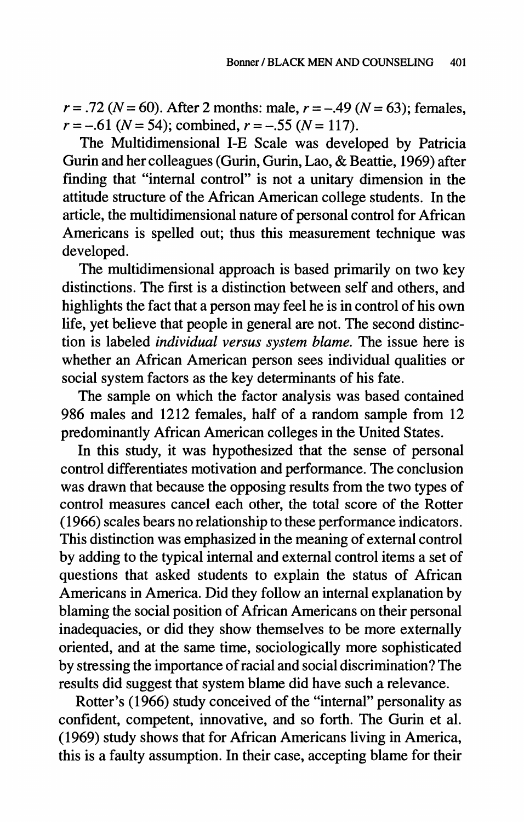$r = .72$  ( $N = 60$ ). After 2 months: male,  $r = -.49$  ( $N = 63$ ); females,  $r = -.61$  ( $N = 54$ ); combined,  $r = -.55$  ( $N = 117$ ).

The Multidimensional I-E Scale was developed by Patricia Gurin and her colleagues (Gurin, Gurin, Lao, & Beattie, 1969) after finding that "internal control" is not a unitary dimension in the attitude structure of the African American college students. In the article, the multidimensional nature of personal control for African Americans is spelled out; thus this measurement technique was developed.

The multidimensional approach is based primarily on two key distinctions. The first is a distinction between self and others, and highlights the fact that a person may feel he is in control of his own life, yet believe that people in general are not. The second distinction is labeled individual versus system blame. The issue here is whether an African American person sees individual qualities or social system factors as the key determinants of his fate.

The sample on which the factor analysis was based contained 986 males and 1212 females, half of a random sample from 12 predominantly African American colleges in the United States.

In this study, it was hypothesized that the sense of personal control differentiates motivation and performance. The conclusion was drawn that because the opposing results from the two types of control measures cancel each other, the total score of the Rotter (1966) scales bears no relationship to these performance indicators. This distinction was emphasized in the meaning of external control by adding to the typical internal and external control items a set of questions that asked students to explain the status of African Americans in America. Did they follow an internal explanation by blaming the social position of African Americans on their personal inadequacies, or did they show themselves to be more externally oriented, and at the same time, sociologically more sophisticated by stressing the importance of racial and social discrimination? The results did suggest that system blame did have such a relevance.

Rotter's (1966) study conceived of the "internal" personality as confident, competent, innovative, and so forth. The Gurin et al. (1969) study shows that for African Americans living in America, this is a faulty assumption. In their case, accepting blame for their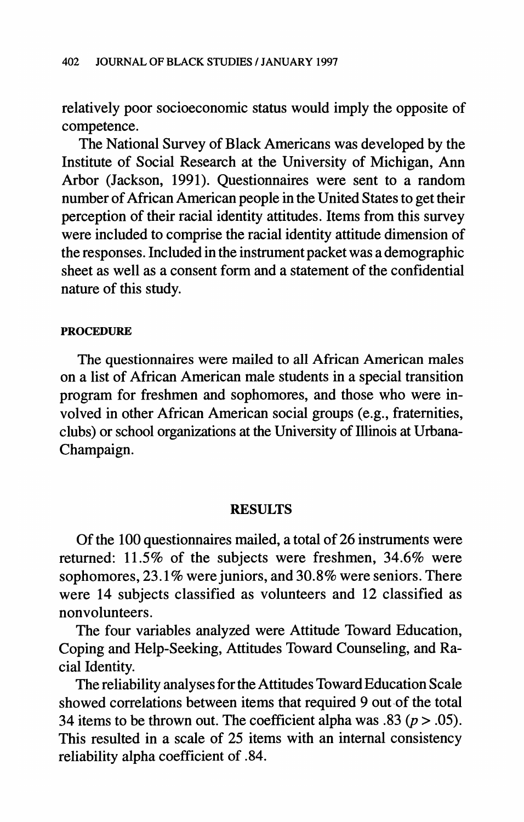relatively poor socioeconomic status would imply the opposite of competence.

The National Survey of Black Americans was developed by the Institute of Social Research at the University of Michigan, Ann Arbor (Jackson, 1991). Questionnaires were sent to a random number of African American people in the United States to get their perception of their racial identity attitudes. Items from this survey were included to comprise the racial identity attitude dimension of the responses. Included in the instrument packet was a demographic sheet as well as a consent form and a statement of the confidential nature of this study.

## PROCEDURE

The questionnaires were mailed to all African American males on a list of African American male students in a special transition program for freshmen and sophomores, and those who were involved in other African American social groups (e.g., fraternities, clubs) or school organizations at the University of Illinois at Urbana-Champaign.

## RESULTS

Of the 100 questionnaires mailed, a total of 26 instruments were returned: 11.5% of the subjects were freshmen, 34.6% were sophomores, 23.1% were juniors, and 30.8% were seniors. There were 14 subjects classified as volunteers and 12 classified as nonvolunteers.

The four variables analyzed were Attitude Toward Education, Coping and Help-Seeking, Attitudes Toward Counseling, and Racial Identity.

The reliability analyses for the Attitudes Toward Education Scale showed correlations between items that required 9 out of the total 34 items to be thrown out. The coefficient alpha was .83 ( $p > .05$ ). This resulted in a scale of 25 items with an internal consistency reliability alpha coefficient of .84.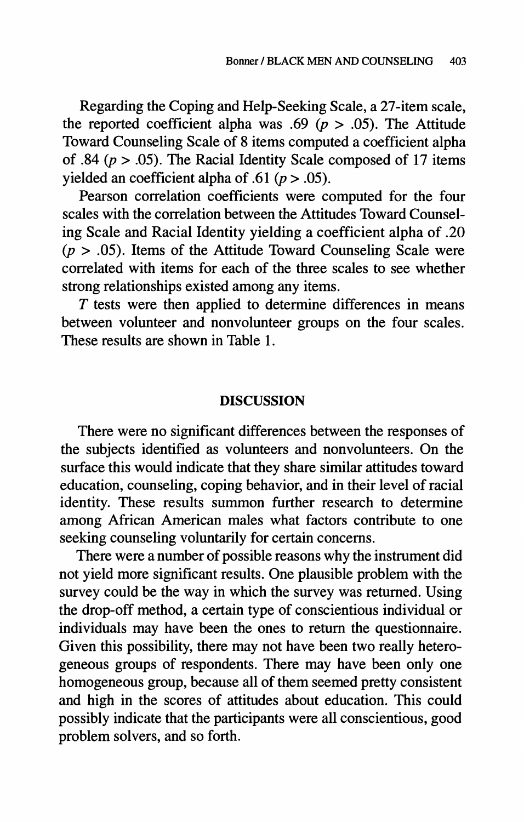Regarding the Coping and Help-Seeking Scale, a 27-item scale, the reported coefficient alpha was .69 ( $p > .05$ ). The Attitude Toward Counseling Scale of 8 items computed a coefficient alpha of .84 ( $p > .05$ ). The Racial Identity Scale composed of 17 items yielded an coefficient alpha of .61 ( $p > .05$ ).

Pearson correlation coefficients were computed for the four scales with the correlation between the Attitudes Toward Counseling Scale and Racial Identity yielding a coefficient alpha of .20  $(p > .05)$ . Items of the Attitude Toward Counseling Scale were correlated with items for each of the three scales to see whether strong relationships existed among any items.

T tests were then applied to determine differences in means between volunteer and nonvolunteer groups on the four scales. These results are shown in Table 1.

## DISCUSSION

There were no significant differences between the responses of the subjects identified as volunteers and nonvolunteers. On the surface this would indicate that they share similar attitudes toward education, counseling, coping behavior, and in their level of racial identity. These results summon further research to determine among African American males what factors contribute to one seeking counseling voluntarily for certain concerns.

There were a number of possible reasons why the instrument did not yield more significant results. One plausible problem with the survey could be the way in which the survey was returned. Using the drop-off method, a certain type of conscientious individual or individuals may have been the ones to return the questionnaire. Given this possibility, there may not have been two really heterogeneous groups of respondents. There may have been only one homogeneous group, because all of them seemed pretty consistent and high in the scores of attitudes about education. This could possibly indicate that the participants were all conscientious, good problem solvers, and so forth.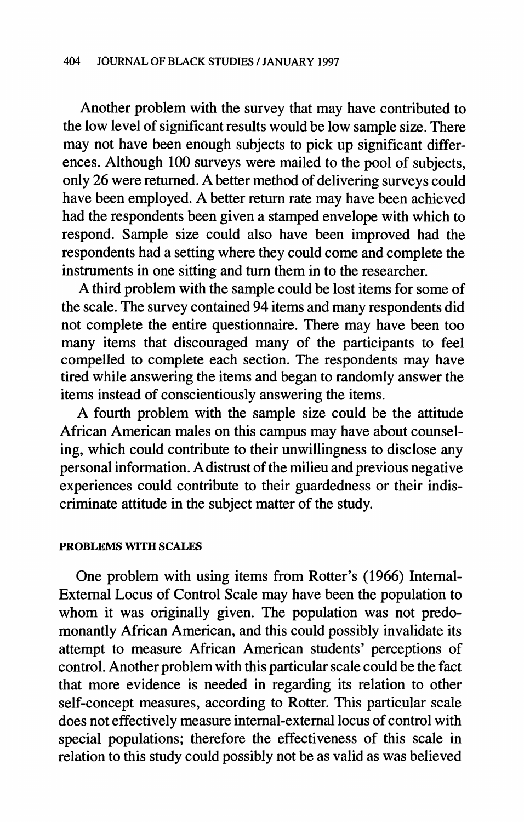Another problem with the survey that may have contributed to the low level of significant results would be low sample size. There may not have been enough subjects to pick up significant differences. Although 100 surveys were mailed to the pool of subjects, only 26 were returned. A better method of delivering surveys could have been employed. A better return rate may have been achieved had the respondents been given a stamped envelope with which to respond. Sample size could also have been improved had the respondents had a setting where they could come and complete the instruments in one sitting and turn them in to the researcher.

A third problem with the sample could be lost items for some of the scale. The survey contained 94 items and many respondents did not complete the entire questionnaire. There may have been too many items that discouraged many of the participants to feel compelled to complete each section. The respondents may have tired while answering the items and began to randomly answer the items instead of conscientiously answering the items.

A fourth problem with the sample size could be the attitude African American males on this campus may have about counseling, which could contribute to their unwillingness to disclose any personal information. A distrust of the milieu and previous negative experiences could contribute to their guardedness or their indiscriminate attitude in the subject matter of the study.

#### PROBLEMS WITH SCALES

One problem with using items from Rotter's (1966) Internal-External Locus of Control Scale may have been the population to whom it was originally given. The population was not predomonantly African American, and this could possibly invalidate its attempt to measure African American students' perceptions of control. Another problem with this particular scale could be the fact that more evidence is needed in regarding its relation to other self-concept measures, according to Rotter. This particular scale does not effectively measure internal-external locus of control with special populations; therefore the effectiveness of this scale in relation to this study could possibly not be as valid as was believed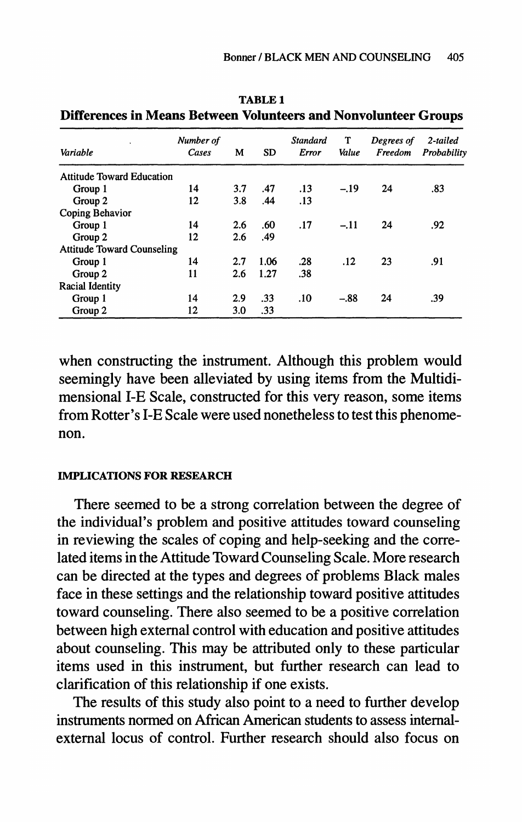| Variable                          | Number of<br>Cases | м   | <b>SD</b> | Standard<br>Error | т<br>Value | Degrees of<br>Freedom | 2-tailed<br>Probability |
|-----------------------------------|--------------------|-----|-----------|-------------------|------------|-----------------------|-------------------------|
| <b>Attitude Toward Education</b>  |                    |     |           |                   |            |                       |                         |
| Group 1                           | 14                 | 3.7 | .47       | .13               | $-.19$     | 24                    | .83                     |
| Group 2                           | 12                 | 3.8 | .44       | .13               |            |                       |                         |
| Coping Behavior                   |                    |     |           |                   |            |                       |                         |
| Group 1                           | 14                 | 2.6 | .60       | .17               | $-.11$     | 24                    | .92                     |
| Group 2                           | 12                 | 2.6 | .49       |                   |            |                       |                         |
| <b>Attitude Toward Counseling</b> |                    |     |           |                   |            |                       |                         |
| Group 1                           | 14                 | 2.7 | 1.06      | .28               | .12        | 23                    | .91                     |
| Group 2                           | 11                 | 2.6 | 1.27      | .38               |            |                       |                         |
| <b>Racial Identity</b>            |                    |     |           |                   |            |                       |                         |
| Group 1                           | 14                 | 2.9 | .33       | .10               | $-.88$     | 24                    | .39                     |
| Group 2                           | 12                 | 3.0 | .33       |                   |            |                       |                         |

TABLE 1 Differences in Means Between Volunteers and Nonvolunteer Groups

when constructing the instrument. Although this problem would seemingly have been alleviated by using items from the Multidimensional I-E Scale, constructed for this very reason, some items from Rotter's I-E Scale were used nonetheless to test this phenomenon.

## IMPLICATIONS FOR RESEARCH

There seemed to be a strong correlation between the degree of the individual's problem and positive attitudes toward counseling in reviewing the scales of coping and help-seeking and the correlated items in the Attitude Toward Counseling Scale. More research can be directed at the types and degrees of problems Black males face in these settings and the relationship toward positive attitudes toward counseling. There also seemed to be a positive correlation between high external control with education and positive attitudes about counseling. This may be attributed only to these particular items used in this instrument, but further research can lead to clarification of this relationship if one exists.

The results of this study also point to a need to further develop instruments normed on African American students to assess internalexternal locus of control. Further research should also focus on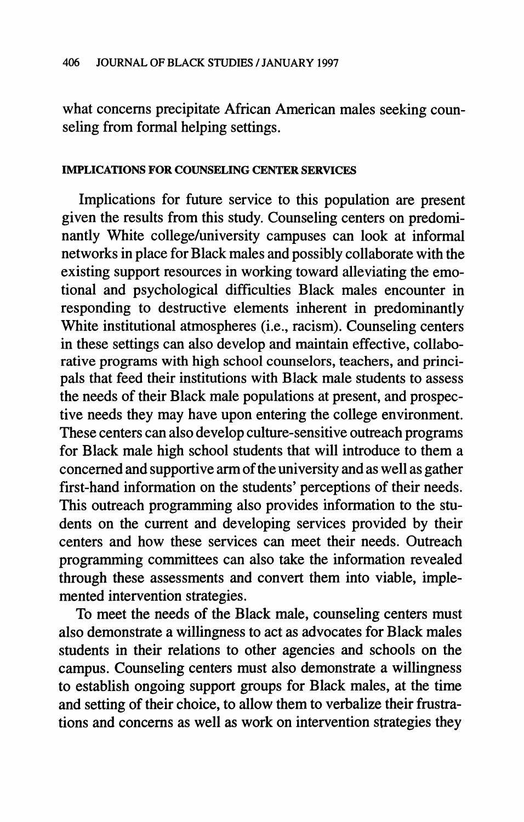what concerns precipitate African American males seeking counseling from formal helping settings.

## IMPLICATIONS FOR COUNSELING CENTER SERVICES

Implications for future service to this population are present given the results from this study. Counseling centers on predominantly White college/university campuses can look at informal networks in place for Black males and possibly collaborate with the existing support resources in working toward alleviating the emotional and psychological difficulties Black males encounter in responding to destructive elements inherent in predominantly White institutional atmospheres (i.e., racism). Counseling centers in these settings can also develop and maintain effective, collaborative programs with high school counselors, teachers, and principals that feed their institutions with Black male students to assess the needs of their Black male populations at present, and prospective needs they may have upon entering the college environment. These centers can also develop culture-sensitive outreach programs for Black male high school students that will introduce to them a concerned and supportive arm of the university and as well as gather first-hand information on the students' perceptions of their needs. This outreach programming also provides information to the students on the current and developing services provided by their centers and how these services can meet their needs. Outreach programming committees can also take the information revealed through these assessments and convert them into viable, implemented intervention strategies.

To meet the needs of the Black male, counseling centers must also demonstrate a willingness to act as advocates for Black males students in their relations to other agencies and schools on the campus. Counseling centers must also demonstrate a willingness to establish ongoing support groups for Black males, at the time and setting of their choice, to allow them to verbalize their frustrations and concerns as well as work on intervention strategies they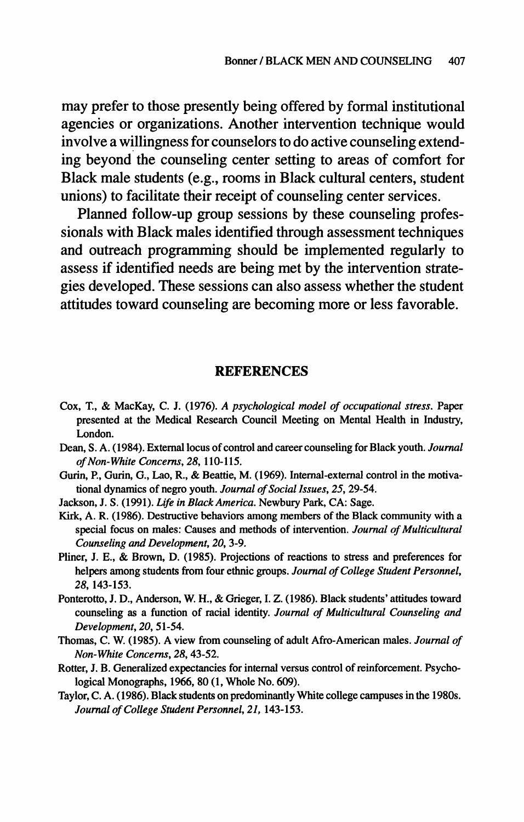may prefer to those presently being offered by formal institutional agencies or organizations. Another intervention technique would involve a willingness for counselors to do active counseling extending beyond the counseling center setting to areas of comfort for Black male students (e.g., rooms in Black cultural centers, student unions) to facilitate their receipt of counseling center services.

Planned follow-up group sessions by these counseling professionals with Black males identified through assessment techniques and outreach programming should be implemented regularly to assess if identified needs are being met by the intervention strategies developed. These sessions can also assess whether the student attitudes toward counseling are becoming more or less favorable.

#### REFERENCES

- Cox, T., & MacKay, C. J. (1976). A psychological model of occupational stress. Paper presented at the Medical Research Council Meeting on Mental Health in Industry, London.
- Dean, S. A. (1984). External locus of control and career counseling for Black youth. Journal of Non- White Concerns, 28, 110-115.
- Gurin, P., Gurin, G., Lao, R., & Beattie, M. (1969). Internal-external control in the motivational dynamics of negro youth. Journal of Social Issues, 25, 29-54.
- Jackson, J. S. (1991). Life in Black America. Newbury Park, CA: Sage.
- Kirk, A. R. (1986). Destructive behaviors among members of the Black community with a special focus on males: Causes and methods of intervention. Journal of Multicultural Counseling and Development, 20, 3-9.
- Pliner, J. E., & Brown, D. (1985). Projections of reactions to stress and preferences for helpers among students from four ethnic groups. Journal of College Student Personnel, 28, 143-153.
- Ponterotto, J.D., Anderson, W. H., & Grieger, I.Z. (1986). Black students' attitudes toward counseling as a function of racial identity. Journal of Multicultural Counseling and Development, 20, 51-54.
- Thomas, C. W. (1985). A view from counseling of adult Afro-American males. Journal of Non-White Concerns, 28,43-52.
- Rotter, J. B. Generalized expectancies for internal versus control of reinforcement. Psychological Monographs, 1966, 80 (1, Whole No. 609).
- Taylor, C. A. (1986). Black students on predominantly White college campuses in the 1980s. Journal of College Student Personnel, 21, 143-153.